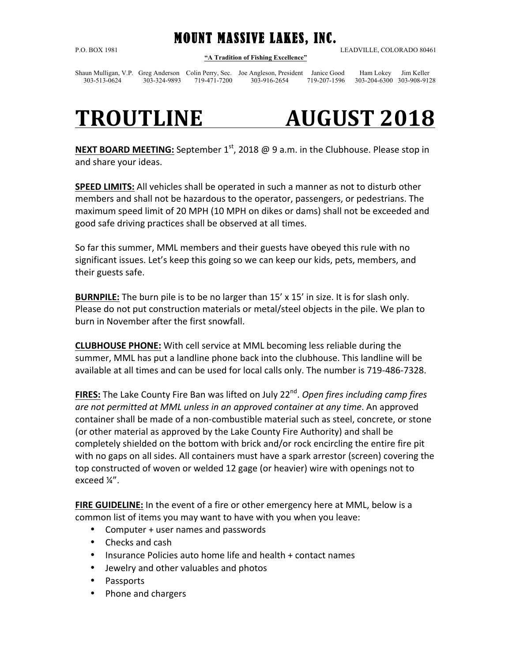MOUNT MASSIVE LAKES, INC. **"A Tradition of Fishing Excellence"**

P.O. BOX 1981 LEADVILLE, COLORADO 80461

Shaun Mulligan, V.P. Greg Anderson Colin Perry, Sec. Joe Angleson, President Janice Good Ham Lokey Jim Keller 303-513-0624 303-324-9893 719-471-7200 303-916-2654 719-207-1596 303-204-6300 303-908-9128

## **TROUTLINE AUGUST 2018**

**NEXT BOARD MEETING:** September  $1<sup>st</sup>$ , 2018 @ 9 a.m. in the Clubhouse. Please stop in and share your ideas.

**SPEED LIMITS:** All vehicles shall be operated in such a manner as not to disturb other members and shall not be hazardous to the operator, passengers, or pedestrians. The maximum speed limit of 20 MPH (10 MPH on dikes or dams) shall not be exceeded and good safe driving practices shall be observed at all times.

So far this summer, MML members and their guests have obeyed this rule with no significant issues. Let's keep this going so we can keep our kids, pets, members, and their guests safe.

**BURNPILE:** The burn pile is to be no larger than 15' x 15' in size. It is for slash only. Please do not put construction materials or metal/steel objects in the pile. We plan to burn in November after the first snowfall.

**CLUBHOUSE PHONE:** With cell service at MML becoming less reliable during the summer, MML has put a landline phone back into the clubhouse. This landline will be available at all times and can be used for local calls only. The number is 719-486-7328.

**FIRES:** The Lake County Fire Ban was lifted on July 22<sup>nd</sup>. Open fires including camp fires are not permitted at MML unless in an approved container at any time. An approved container shall be made of a non-combustible material such as steel, concrete, or stone (or other material as approved by the Lake County Fire Authority) and shall be completely shielded on the bottom with brick and/or rock encircling the entire fire pit with no gaps on all sides. All containers must have a spark arrestor (screen) covering the top constructed of woven or welded 12 gage (or heavier) wire with openings not to exceed  $\frac{1}{4}$ .

FIRE GUIDELINE: In the event of a fire or other emergency here at MML, below is a common list of items you may want to have with you when you leave:

- Computer + user names and passwords
- Checks and cash
- Insurance Policies auto home life and health + contact names
- Jewelry and other valuables and photos
- Passports
- Phone and chargers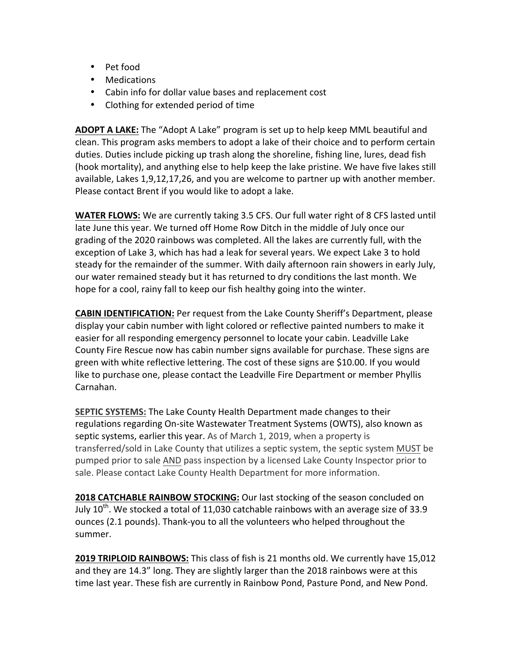- Pet food
- Medications
- Cabin info for dollar value bases and replacement cost
- Clothing for extended period of time

**ADOPT A LAKE:** The "Adopt A Lake" program is set up to help keep MML beautiful and clean. This program asks members to adopt a lake of their choice and to perform certain duties. Duties include picking up trash along the shoreline, fishing line, lures, dead fish (hook mortality), and anything else to help keep the lake pristine. We have five lakes still available, Lakes 1,9,12,17,26, and you are welcome to partner up with another member. Please contact Brent if you would like to adopt a lake.

**WATER FLOWS:** We are currently taking 3.5 CFS. Our full water right of 8 CFS lasted until late June this year. We turned off Home Row Ditch in the middle of July once our grading of the 2020 rainbows was completed. All the lakes are currently full, with the exception of Lake 3, which has had a leak for several years. We expect Lake 3 to hold steady for the remainder of the summer. With daily afternoon rain showers in early July, our water remained steady but it has returned to dry conditions the last month. We hope for a cool, rainy fall to keep our fish healthy going into the winter.

**CABIN IDENTIFICATION:** Per request from the Lake County Sheriff's Department, please display your cabin number with light colored or reflective painted numbers to make it easier for all responding emergency personnel to locate your cabin. Leadville Lake County Fire Rescue now has cabin number signs available for purchase. These signs are green with white reflective lettering. The cost of these signs are \$10.00. If you would like to purchase one, please contact the Leadville Fire Department or member Phyllis Carnahan.

**SEPTIC SYSTEMS:** The Lake County Health Department made changes to their regulations regarding On-site Wastewater Treatment Systems (OWTS), also known as septic systems, earlier this year. As of March 1, 2019, when a property is transferred/sold in Lake County that utilizes a septic system, the septic system MUST be pumped prior to sale AND pass inspection by a licensed Lake County Inspector prior to sale. Please contact Lake County Health Department for more information.

**2018 CATCHABLE RAINBOW STOCKING:** Our last stocking of the season concluded on July  $10^{th}$ . We stocked a total of 11,030 catchable rainbows with an average size of 33.9 ounces (2.1 pounds). Thank-you to all the volunteers who helped throughout the summer. 

**2019 TRIPLOID RAINBOWS:** This class of fish is 21 months old. We currently have 15,012 and they are 14.3" long. They are slightly larger than the 2018 rainbows were at this time last year. These fish are currently in Rainbow Pond, Pasture Pond, and New Pond.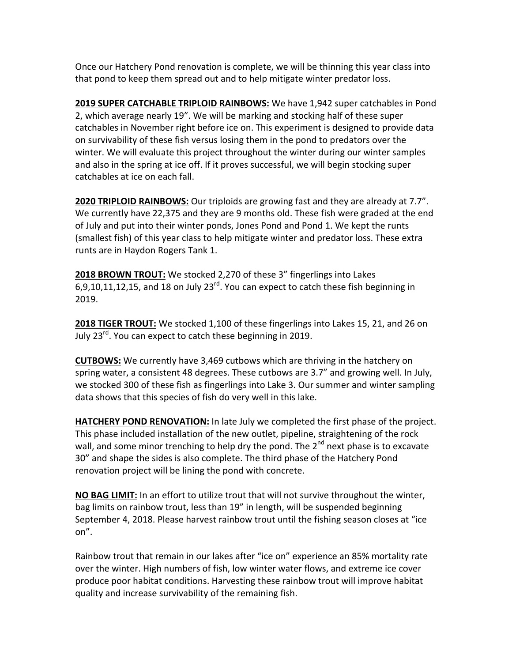Once our Hatchery Pond renovation is complete, we will be thinning this year class into that pond to keep them spread out and to help mitigate winter predator loss.

**2019 SUPER CATCHABLE TRIPLOID RAINBOWS:** We have 1,942 super catchables in Pond 2, which average nearly 19". We will be marking and stocking half of these super catchables in November right before ice on. This experiment is designed to provide data on survivability of these fish versus losing them in the pond to predators over the winter. We will evaluate this project throughout the winter during our winter samples and also in the spring at ice off. If it proves successful, we will begin stocking super catchables at ice on each fall.

**2020 TRIPLOID RAINBOWS:** Our triploids are growing fast and they are already at 7.7". We currently have 22,375 and they are 9 months old. These fish were graded at the end of July and put into their winter ponds, Jones Pond and Pond 1. We kept the runts (smallest fish) of this year class to help mitigate winter and predator loss. These extra runts are in Haydon Rogers Tank 1.

**2018 BROWN TROUT:** We stocked 2,270 of these 3" fingerlings into Lakes 6,9,10,11,12,15, and 18 on July  $23^{rd}$ . You can expect to catch these fish beginning in 2019. 

**2018 TIGER TROUT:** We stocked 1,100 of these fingerlings into Lakes 15, 21, and 26 on July  $23^{\text{rd}}$ . You can expect to catch these beginning in 2019.

**CUTBOWS:** We currently have 3,469 cutbows which are thriving in the hatchery on spring water, a consistent 48 degrees. These cutbows are 3.7" and growing well. In July, we stocked 300 of these fish as fingerlings into Lake 3. Our summer and winter sampling data shows that this species of fish do very well in this lake.

**HATCHERY POND RENOVATION:** In late July we completed the first phase of the project. This phase included installation of the new outlet, pipeline, straightening of the rock wall, and some minor trenching to help dry the pond. The  $2^{nd}$  next phase is to excavate 30" and shape the sides is also complete. The third phase of the Hatchery Pond renovation project will be lining the pond with concrete.

**NO BAG LIMIT:** In an effort to utilize trout that will not survive throughout the winter, bag limits on rainbow trout, less than 19" in length, will be suspended beginning September 4, 2018. Please harvest rainbow trout until the fishing season closes at "ice on".

Rainbow trout that remain in our lakes after "ice on" experience an 85% mortality rate over the winter. High numbers of fish, low winter water flows, and extreme ice cover produce poor habitat conditions. Harvesting these rainbow trout will improve habitat quality and increase survivability of the remaining fish.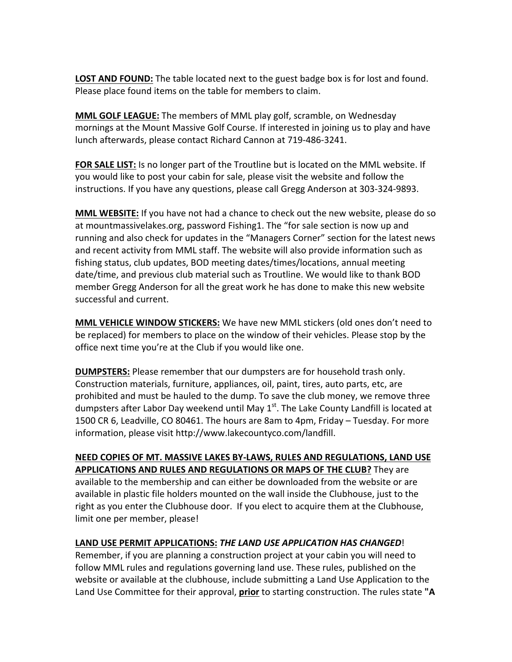**LOST AND FOUND:** The table located next to the guest badge box is for lost and found. Please place found items on the table for members to claim.

**MML GOLF LEAGUE:** The members of MML play golf, scramble, on Wednesday mornings at the Mount Massive Golf Course. If interested in joining us to play and have lunch afterwards, please contact Richard Cannon at 719-486-3241.

**FOR SALE LIST:** Is no longer part of the Troutline but is located on the MML website. If you would like to post your cabin for sale, please visit the website and follow the instructions. If you have any questions, please call Gregg Anderson at 303-324-9893.

**MML WEBSITE:** If you have not had a chance to check out the new website, please do so at mountmassivelakes.org, password Fishing1. The "for sale section is now up and running and also check for updates in the "Managers Corner" section for the latest news and recent activity from MML staff. The website will also provide information such as fishing status, club updates, BOD meeting dates/times/locations, annual meeting date/time, and previous club material such as Troutline. We would like to thank BOD member Gregg Anderson for all the great work he has done to make this new website successful and current.

**MML VEHICLE WINDOW STICKERS:** We have new MML stickers (old ones don't need to be replaced) for members to place on the window of their vehicles. Please stop by the office next time you're at the Club if you would like one.

**DUMPSTERS:** Please remember that our dumpsters are for household trash only. Construction materials, furniture, appliances, oil, paint, tires, auto parts, etc, are prohibited and must be hauled to the dump. To save the club money, we remove three dumpsters after Labor Day weekend until May  $1<sup>st</sup>$ . The Lake County Landfill is located at 1500 CR 6, Leadville, CO 80461. The hours are 8am to 4pm, Friday - Tuesday. For more information, please visit http://www.lakecountyco.com/landfill.

**NEED COPIES OF MT. MASSIVE LAKES BY-LAWS, RULES AND REGULATIONS, LAND USE APPLICATIONS AND RULES AND REGULATIONS OR MAPS OF THE CLUB?** They are available to the membership and can either be downloaded from the website or are available in plastic file holders mounted on the wall inside the Clubhouse, just to the right as you enter the Clubhouse door. If you elect to acquire them at the Clubhouse, limit one per member, please!

## LAND USE PERMIT APPLICATIONS: THE LAND USE APPLICATION HAS CHANGED!

Remember, if you are planning a construction project at your cabin you will need to follow MML rules and regulations governing land use. These rules, published on the website or available at the clubhouse, include submitting a Land Use Application to the Land Use Committee for their approval, **prior** to starting construction. The rules state "A